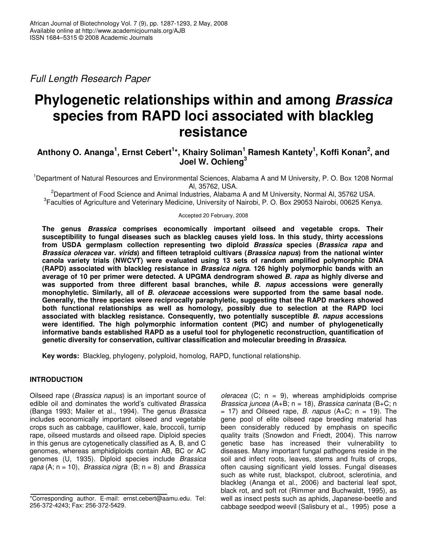*Full Length Research Paper*

# **Phylogenetic relationships within and among** *Brassica* **species from RAPD loci associated with blackleg resistance**

## Anthony O. Ananga<sup>1</sup>, Ernst Cebert<sup>1</sup>\*, Khairy Soliman<sup>1</sup> Ramesh Kantety<sup>1</sup>, Koffi Konan<sup>2</sup>, and **Joel W. Ochieng 3**

<sup>1</sup>Department of Natural Resources and Environmental Sciences, Alabama A and M University, P. O. Box 1208 Normal Al, 35762, USA.

<sup>2</sup>Department of Food Science and Animal Industries, Alabama A and M University, Normal Al, 35762 USA. <sup>3</sup> Faculties of Agriculture and Veterinary Medicine, University of Nairobi, P. O. Box 29053 Nairobi, 00625 Kenya.

#### Accepted 20 February, 2008

**The genus** *Brassica* **comprises economically important oilseed and vegetable crops. Their susceptibility to fungal diseases such as blackleg causes yield loss. In this study, thirty accessions from USDA germplasm collection representing two diploid** *Brassica* **species (***Brassica rapa* **and** *Brassica oleracea* **var.** *virids***) and fifteen tetraploid cultivars (***Brassica napus***) from the national winter canola variety trials (NWCVT) were evaluated using 13 sets of random amplified polymorphic DNA (RAPD) associated with blackleg resistance in** *Brassica nigra***. 126 highly polymorphic bands with an average of 10 per primer were detected. A UPGMA dendrogram showed** *B. rapa* **as highly diverse and was supported from three different basal branches, while** *B***.** *napus* **accessions were generally monophyletic. Similarly, all of** *B***.** *oleraceae* **accessions were supported from the same basal node. Generally, the three species were reciprocally paraphyletic, suggesting that the RAPD markers showed both functional relationships as well as homology, possibly due to selection at the RAPD loci associated with blackleg resistance. Consequently, two potentially susceptible** *B. napus* **accessions were identified. The high polymorphic information content (PIC) and number of phylogenetically informative bands established RAPD as a useful tool for phylogenetic reconstruction, quantification of genetic diversity for conservation, cultivar classification and molecular breeding in** *Brassica***.**

**Key words:** Blackleg, phylogeny, polyploid, homolog, RAPD, functional relationship.

## **INTRODUCTION**

Oilseed rape (*Brassica napus*) is an important source of edible oil and dominates the world's cultivated *Brassica* (Banga 1993; Mailer et al., 1994). The genus *Brassica* includes economically important oilseed and vegetable crops such as cabbage, cauliflower, kale, broccoli, turnip rape, oilseed mustards and oilseed rape. Diploid species in this genus are cytogenetically classified as A, B, and C genomes, whereas amphidiploids contain AB, BC or AC genomes (U, 1935). Diploid species include *Brassica rapa* (A; n = 10), *Brassica nigra* (B; n = 8) and *Brassica*

*oleracea* (C; n = 9), whereas amphidiploids comprise *Brassica juncea* (A+B; n = 18), *Brassica carinata* (B+C; n  $= 17$ ) and Oilseed rape, *B. napus* (A+C;  $n = 19$ ). The gene pool of elite oilseed rape breeding material has been considerably reduced by emphasis on specific quality traits (Snowdon and Friedt, 2004). This narrow genetic base has increased their vulnerability to diseases. Many important fungal pathogens reside in the soil and infect roots, leaves, stems and fruits of crops, often causing significant yield losses. Fungal diseases such as white rust, blackspot, clubroot, sclerotinia, and blackleg (Ananga et al., 2006) and bacterial leaf spot, black rot, and soft rot (Rimmer and Buchwaldt, 1995), as well as insect pests such as aphids, Japanese-beetle and cabbage seedpod weevil (Salisbury et al., 1995) pose a

<sup>\*</sup>Corresponding author. E-mail: ernst.cebert@aamu.edu. Tel: 256-372-4243; Fax: 256-372-5429.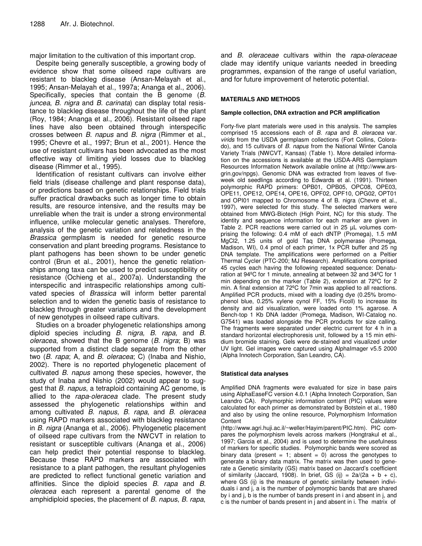major limitation to the cultivation of this important crop.

Despite being generally susceptible, a growing body of evidence show that some oilseed rape cultivars are resistant to blackleg disease (Ansan-Melayah et al., 1995; Ansan-Melayah et al., 1997a; Ananga et al., 2006). Specifically, species that contain the B genome (*B. juncea*, *B. nigra* and *B. carinata*) can display total resistance to blackleg disease throughout the life of the plant (Roy, 1984; Ananga et al., 2006). Resistant oilseed rape lines have also been obtained through interspecific crosses between *B. napus* and *B. nigra* (Rimmer et al., 1995; Chevre et al., 1997; Brun et al., 2001). Hence the use of resistant cultivars has been advocated as the most effective way of limiting yield losses due to blackleg disease (Rimmer et al., 1995).

Identification of resistant cultivars can involve either field trials (disease challenge and plant response data), or predictions based on genetic relationships. Field trials suffer practical drawbacks such as longer time to obtain results, are resource intensive, and the results may be unreliable when the trait is under a strong environmental influence, unlike molecular genetic analyses. Therefore, analysis of the genetic variation and relatedness in the *Brassica* germplasm is needed for genetic resource conservation and plant breeding programs. Resistance to plant pathogens has been shown to be under genetic control (Brun et al., 2001), hence the genetic relationships among taxa can be used to predict susceptibility or resistance (Ochieng et al., 2007a). Understanding the interspecific and intraspecific relationships among cultivated species of *Brassica* will inform better parental selection and to widen the genetic basis of resistance to blackleg through greater variations and the development of new genotypes in oilseed rape cultivars.

Studies on a broader phylogenetic relationships among diploid species including *B. nigra, B. rapa,* and *B. oleracea*, showed that the B genome (*B. nigra*; B) was supported from a distinct clade separate from the other two (*B. rapa*; A, and *B. oleracea*; C) (Inaba and Nishio, 2002). There is no reported phylogenetic placement of cultivated *B. napus* among these species, however, the study of Inaba and Nishio (2002) would appear to suggest that *B. napus*, a tetraploid containing AC genome, is allied to the *rapa*-*oleracea* clade. The present study assessed the phylogenetic relationships within and among cultivated *B. napus, B. rapa*, and *B. oleracea* using RAPD markers associated with blackleg resistance in *B. nigra* (Ananga et al*.*, 2006). Phylogenetic placement of oilseed rape cultivars from the NWCVT in relation to resistant or susceptible cultivars (Ananga et al., 2006) can help predict their potential response to blackleg. Because these RAPD markers are associated with resistance to a plant pathogen, the resultant phylogenies are predicted to reflect functional genetic variation and affinities. Since the diploid species *B. rapa* and *B. oleracea* each represent a parental genome of the amphidiploid species, the placement of *B. napus*, *B. rapa*,

and *B. oleraceae* cultivars within the *rapa*-*oleraceae* clade may identify unique variants needed in breeding programmes, expansion of the range of useful variation, and for future improvement of heterotic potential.

#### **MATERIALS AND METHODS**

#### **Sample collection, DNA extraction and PCR amplification**

Forty-five plant materials were used in this analysis. The samples comprised 15 accessions each of *B. rapa* and *B. oleracea* var. *virids* from the USDA germplasm collections (Fort Collins, Colorado), and 15 cultivars of *B. napus* from the National Winter Canola Variety Trials (NWCVT, Kansas) (Table 1). More detailed information on the accessions is available at the USDA-ARS Germplasm Resources Information Network available online at (http://www.arsgrin.gov/npgs). Genomic DNA was extracted from leaves of fiveweek old seedlings according to Edwards et al*.* (1991). Thirteen polymorphic RAPD primers: OPB01, OPB05, OPC08, OPE03, OPE11, OPE12, OPE14, OPE16, OPF02, OPF10, OPG02, OPT01 and OPI01 mapped to Chromosome 4 of B. nigra (Chevre et al., 1997), were selected for this study. The selected markers were obtained from MWG-Biotech (High Point, NC) for this study. The identity and sequence information for each marker are given in Table 2. PCR reactions were carried out in 25 µL volumes comprising the following: 0.4 mM of each dNTP (Promega), 1.5 mM MgCl2, 1.25 units of gold Taq DNA polymerase (Promega, Madison, WI), 0.4 pmol of each primer, 1x PCR buffer and 25 ng DNA template. The amplifications were performed on a Peltier Thermal Cycler (PTC-200; MJ Research). Amplifications comprised 45 cycles each having the following repeated sequence: Denaturation at 94ºC for 1 minute, annealing at between 32 and 34ºC for 1 min depending on the marker (Table 2), extension at 72ºC for 2 min. A final extension at 72ºC for 7min was applied to all reactions. Amplified PCR products, mixed with a loading dye (0.25% bromophenol blue, 0.25% xylene cynol FF, 15% Ficoll) to increase its density and aid visualization, were loaded onto 1% agarose. A Bench-top 1 Kb DNA ladder (Promega, Madison, WI-Catalog no. G7541) was loaded alongside the PCR products for size calling. The fragments were separated under electric current for 4 h in a standard horizontal electrophoresis unit, followed by a 15 min ethidium bromide staining. Gels were de-stained and visualized under UV light. Gel images were captured using AlphaImager v5.5 2000 (Alpha Innotech Corporation, San Leandro, CA).

#### **Statistical data analyses**

Amplified DNA fragments were evaluated for size in base pairs using AlphaEaseFC version 4.0.1 (Alpha Innotech Corporation, San Leandro CA). Polymorphic information content (PIC) values were calculated for each primer as demonstrated by Botstein et al*.*, 1980 and also by using the online resource, Polymorphism Information Content Calculator (http://www.agri.huji.ac.il/~weller/Hayim/parent/PIC.htm). PIC compares the polymorphism levels across markers (Hongtrakul et al., 1997; Garcia et al., 2004) and is used to determine the usefulness of markers for specific studies. Polymorphic bands were scored as binary data (present = 1; absent = 0) across the genotypes to generate a binary data matrix. The matrix was then used to generate a Genetic similarity (GS) matrix based on Jaccard's coefficient of similarity (Jaccard, 1908). In brief, GS (ij) =  $2a/(2a + b + c)$ , where GS (ij) is the measure of genetic similarity between individuals i and j, a is the number of polymorphic bands that are shared by i and j, b is the number of bands present in i and absent in j, and c is the number of bands present in j and absent in i. The matrix of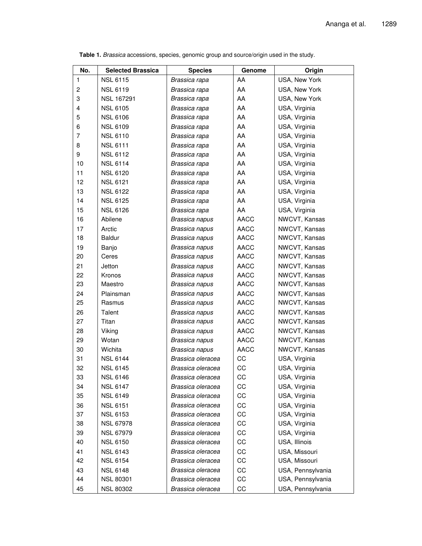| No.                     | <b>Selected Brassica</b> | <b>Species</b>    | Genome      | Origin               |  |
|-------------------------|--------------------------|-------------------|-------------|----------------------|--|
| 1                       | <b>NSL 6115</b>          | Brassica rapa     | AA          | USA, New York        |  |
| $\overline{\mathbf{c}}$ | <b>NSL 6119</b>          | Brassica rapa     | AA          | <b>USA, New York</b> |  |
| 3                       | <b>NSL 167291</b>        | Brassica rapa     | AA          | USA, New York        |  |
| 4                       | <b>NSL 6105</b>          | Brassica rapa     | AA          | USA, Virginia        |  |
| 5                       | <b>NSL 6106</b>          | Brassica rapa     | AA          | USA, Virginia        |  |
| 6                       | <b>NSL 6109</b>          | Brassica rapa     | AA          | USA, Virginia        |  |
| 7                       | <b>NSL 6110</b>          | Brassica rapa     | AA          | USA, Virginia        |  |
| 8                       | <b>NSL 6111</b>          | Brassica rapa     | AA          | USA, Virginia        |  |
| 9                       | <b>NSL 6112</b>          | Brassica rapa     | AA          | USA, Virginia        |  |
| 10                      | <b>NSL 6114</b>          | Brassica rapa     | AA          | USA, Virginia        |  |
| 11                      | <b>NSL 6120</b>          | Brassica rapa     | AA          | USA, Virginia        |  |
| 12                      | <b>NSL 6121</b>          | Brassica rapa     | AA          | USA, Virginia        |  |
| 13                      | <b>NSL 6122</b>          | Brassica rapa     | AA          | USA, Virginia        |  |
| 14                      | <b>NSL 6125</b>          | Brassica rapa     | AA          | USA, Virginia        |  |
| 15                      | <b>NSL 6126</b>          | Brassica rapa     | AA          | USA, Virginia        |  |
| 16                      | Abilene                  | Brassica napus    | <b>AACC</b> | NWCVT, Kansas        |  |
| 17                      | Arctic                   | Brassica napus    | <b>AACC</b> | NWCVT, Kansas        |  |
| 18                      | <b>Baldur</b>            | Brassica napus    | <b>AACC</b> | NWCVT, Kansas        |  |
| 19                      | Banjo                    | Brassica napus    | <b>AACC</b> | NWCVT, Kansas        |  |
| 20                      | Ceres                    | Brassica napus    | <b>AACC</b> | NWCVT, Kansas        |  |
| 21                      | Jetton                   | Brassica napus    | <b>AACC</b> | NWCVT, Kansas        |  |
| 22                      | Kronos                   | Brassica napus    | <b>AACC</b> | NWCVT, Kansas        |  |
| 23                      | Maestro                  | Brassica napus    | <b>AACC</b> | NWCVT, Kansas        |  |
| 24                      | Plainsman                | Brassica napus    | <b>AACC</b> | NWCVT, Kansas        |  |
| 25                      | Rasmus                   | Brassica napus    | <b>AACC</b> | NWCVT, Kansas        |  |
| 26                      | Talent                   | Brassica napus    | <b>AACC</b> | NWCVT, Kansas        |  |
| 27                      | Titan                    | Brassica napus    | <b>AACC</b> | NWCVT, Kansas        |  |
| 28                      | Viking                   | Brassica napus    | <b>AACC</b> | NWCVT, Kansas        |  |
| 29                      | Wotan                    | Brassica napus    | <b>AACC</b> | NWCVT, Kansas        |  |
| 30                      | Wichita                  | Brassica napus    | <b>AACC</b> | NWCVT, Kansas        |  |
| 31                      | <b>NSL 6144</b>          | Brassica oleracea | CC          | USA, Virginia        |  |
| 32                      | <b>NSL 6145</b>          | Brassica oleracea | CC          | USA, Virginia        |  |
| 33                      | <b>NSL 6146</b>          | Brassica oleracea | CC          | USA, Virginia        |  |
| 34                      | <b>NSL 6147</b>          | Brassica oleracea | CC          | USA, Virginia        |  |
| 35                      | <b>NSL 6149</b>          | Brassica oleracea | CC          | USA, Virginia        |  |
| 36                      | <b>NSL 6151</b>          | Brassica oleracea | CC          | USA, Virginia        |  |
| 37                      | <b>NSL 6153</b>          | Brassica oleracea | CC          | USA, Virginia        |  |
| 38                      | <b>NSL 67978</b>         | Brassica oleracea | CC          | USA, Virginia        |  |
| 39                      | <b>NSL 67979</b>         | Brassica oleracea | CC          | USA, Virginia        |  |
| 40                      | <b>NSL 6150</b>          | Brassica oleracea | CC          | USA, Illinois        |  |
| 41                      | <b>NSL 6143</b>          | Brassica oleracea | CC          | USA, Missouri        |  |
| 42                      | <b>NSL 6154</b>          | Brassica oleracea | CC          | USA, Missouri        |  |
| 43                      | <b>NSL 6148</b>          | Brassica oleracea | CC          | USA, Pennsylvania    |  |
| 44                      | <b>NSL 80301</b>         | Brassica oleracea | CC          | USA, Pennsylvania    |  |
| 45                      | <b>NSL 80302</b>         | Brassica oleracea | CC          | USA, Pennsylvania    |  |

**Table 1.** *Brassica* accessions, species, genomic group and source/origin used in the study.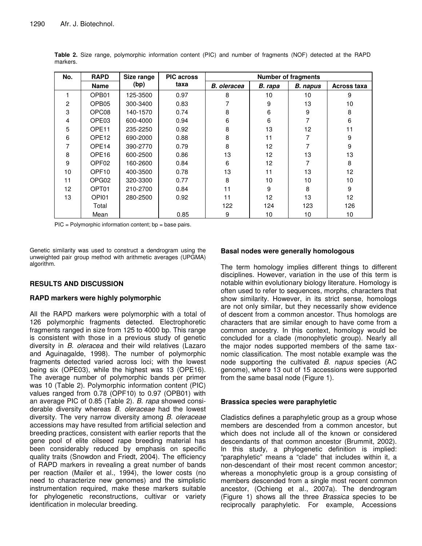| No. | <b>RAPD</b>       | Size range<br>(bp) | <b>PIC across</b><br>taxa | <b>Number of fragments</b> |                   |                 |                    |  |
|-----|-------------------|--------------------|---------------------------|----------------------------|-------------------|-----------------|--------------------|--|
|     | <b>Name</b>       |                    |                           | <b>B.</b> oleracea         | B. rapa           | <b>B.</b> napus | <b>Across taxa</b> |  |
|     | OPB01             | 125-3500           | 0.97                      | 8                          | 10                | 10              | 9                  |  |
| 2   | OPB <sub>05</sub> | 300-3400           | 0.83                      |                            | 9                 | 13              | 10                 |  |
| 3   | OPC08             | 140-1570           | 0.74                      | 8                          | 6                 | 9               | 8                  |  |
| 4   | OPE <sub>03</sub> | 600-4000           | 0.94                      | 6                          | 6                 |                 | 6                  |  |
| 5   | OPE <sub>11</sub> | 235-2250           | 0.92                      | 8                          | 13                | 12              | 11                 |  |
| 6   | OPE <sub>12</sub> | 690-2000           | 0.88                      | 8                          | 11                |                 | 9                  |  |
|     | OPE <sub>14</sub> | 390-2770           | 0.79                      | 8                          | $12 \overline{ }$ |                 | 9                  |  |
| 8   | OPE <sub>16</sub> | 600-2500           | 0.86                      | 13                         | 12                | 13              | 13                 |  |
| 9   | OPF <sub>02</sub> | 160-2600           | 0.84                      | 6                          | $12 \overline{ }$ |                 | 8                  |  |
| 10  | OPF <sub>10</sub> | 400-3500           | 0.78                      | 13                         | 11                | 13              | 12                 |  |
| 11  | OPG <sub>02</sub> | 320-3300           | 0.77                      | 8                          | 10                | 10              | 10                 |  |
| 12  | OPT01             | 210-2700           | 0.84                      | 11                         | 9                 | 8               | 9                  |  |
| 13  | OPI01             | 280-2500           | 0.92                      | 11                         | $12 \overline{ }$ | 13              | 12                 |  |
|     | Total             |                    |                           | 122                        | 124               | 123             | 126                |  |
|     | Mean              |                    | 0.85                      | 9                          | 10                | 10              | 10                 |  |

**Table 2.** Size range, polymorphic information content (PIC) and number of fragments (NOF) detected at the RAPD markers.

 $\text{PIC} = \text{Polymorphic information content}$ ; bp = base pairs.

Genetic similarity was used to construct a dendrogram using the unweighted pair group method with arithmetic averages (UPGMA) algorithm.

## **RESULTS AND DISCUSSION**

## **RAPD markers were highly polymorphic**

All the RAPD markers were polymorphic with a total of 126 polymorphic fragments detected. Electrophoretic fragments ranged in size from 125 to 4000 bp. This range is consistent with those in a previous study of genetic diversity in *B. oleracea* and their wild relatives (Lazaro and Aguinagalde, 1998). The number of polymorphic fragments detected varied across loci; with the lowest being six (OPE03), while the highest was 13 (OPE16). The average number of polymorphic bands per primer was 10 (Table 2). Polymorphic information content (PIC) values ranged from 0.78 (OPF10) to 0.97 (OPB01) with an average PIC of 0.85 (Table 2). *B. rapa* showed considerable diversity whereas *B. oleraceae* had the lowest diversity. The very narrow diversity among *B. oleraceae* accessions may have resulted from artificial selection and breeding practices, consistent with earlier reports that the gene pool of elite oilseed rape breeding material has been considerably reduced by emphasis on specific quality traits (Snowdon and Friedt, 2004). The efficiency of RAPD markers in revealing a great number of bands per reaction (Mailer et al., 1994), the lower costs (no need to characterize new genomes) and the simplistic instrumentation required, make these markers suitable for phylogenetic reconstructions, cultivar or variety identification in molecular breeding.

## **Basal nodes were generally homologous**

The term homology implies different things to different disciplines. However, variation in the use of this term is notable within evolutionary biology literature. Homology is often used to refer to sequences, morphs, characters that show similarity. However, in its strict sense, homologs are not only similar, but they necessarily show evidence of descent from a common ancestor. Thus homologs are characters that are similar enough to have come from a common ancestry. In this context, homology would be concluded for a clade (monophyletic group). Nearly all the major nodes supported members of the same taxnomic classification. The most notable example was the node supporting the cultivated *B. napus* species (AC genome), where 13 out of 15 accessions were supported from the same basal node (Figure 1).

## **Brassica species were paraphyletic**

Cladistics defines a paraphyletic group as a group whose members are descended from a common ancestor, but which does not include all of the known or considered descendants of that common ancestor (Brummit, 2002). In this study, a phylogenetic definition is implied: "paraphyletic" means a "clade" that includes within it, a non-descendant of their most recent common ancestor; whereas a monophyletic group is a group consisting of members descended from a single most recent common ancestor, (Ochieng et al., 2007a). The dendrogram (Figure 1) shows all the three *Brassica* species to be reciprocally paraphyletic. For example, Accessions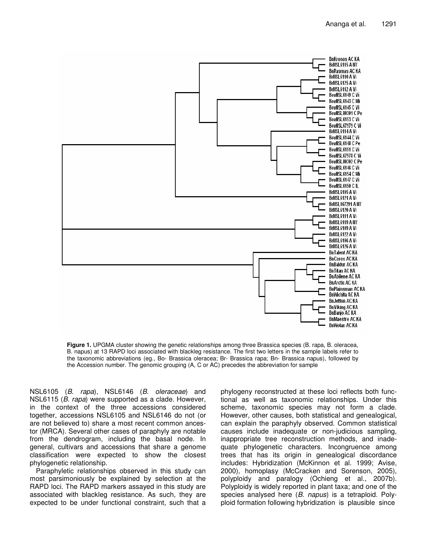

**Figure 1.** UPGMA cluster showing the genetic relationships among three Brassica species (B. rapa, B. oleracea, B. napus) at 13 RAPD loci associated with blackleg resistance. The first two letters in the sample labels refer to the taxonomic abbreviations (eg., Bo- Brassica oleracea; Br- Brassica rapa; Bn- Brassica napus), followed by the Accession number. The genomic grouping (A, C or AC) precedes the abbreviation for sample

NSL6105 (*B*. *rapa*), NSL6146 (*B*. *oleraceae*) and NSL6115 (*B*. *rapa*) were supported as a clade. However, in the context of the three accessions considered together, accessions NSL6105 and NSL6146 do not (or are not believed to) share a most recent common ancestor (MRCA). Several other cases of paraphyly are notable from the dendrogram, including the basal node. In general, cultivars and accessions that share a genome classification were expected to show the closest phylogenetic relationship.

Paraphyletic relationships observed in this study can most parsimoniously be explained by selection at the RAPD loci. The RAPD markers assayed in this study are associated with blackleg resistance. As such, they are expected to be under functional constraint, such that a

phylogeny reconstructed at these loci reflects both functional as well as taxonomic relationships. Under this scheme, taxonomic species may not form a clade. However, other causes, both statistical and genealogical, can explain the paraphyly observed. Common statistical causes include inadequate or non-judicious sampling, inappropriate tree reconstruction methods, and inadequate phylogenetic characters. Incongruence among trees that has its origin in genealogical discordance includes: Hybridization (McKinnon et al. 1999; Avise, 2000), homoplasy (McCracken and Sorenson, 2005), polyploidy and paralogy (Ochieng et al., 2007b). Polyploidy is widely reported in plant taxa; and one of the species analysed here (*B*. *napus*) is a tetraploid. Polyploid formation following hybridization is plausible since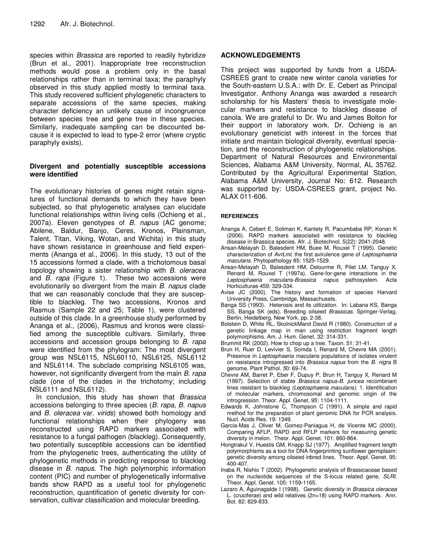species within *Brassica* are reported to readily hybridize (Brun et al., 2001). Inappropriate tree reconstruction methods would pose a problem only in the basal relationships rather than in terminal taxa; the paraphyly observed in this study applied mostly to terminal taxa. This study recovered sufficient phylogenetic characters to separate accessions of the same species, making character deficiency an unlikely cause of incongruence between species tree and gene tree in these species. Similarly, inadequate sampling can be discounted because it is expected to lead to type-2 error (where cryptic paraphyly exists).

## **Divergent and potentially susceptible accessions were identified**

The evolutionary histories of genes might retain signatures of functional demands to which they have been subjected, so that phylogenetic analyses can elucidate functional relationships within living cells (Ochieng et al., 2007a). Eleven genotypes of *B*. *napus* (AC genome; Abilene, Baldur, Banjo, Ceres, Kronos, Plainsman, Talent, Titan, Viking, Wotan, and Wichita) in this study have shown resistance in greenhouse and field experiments (Ananga et al*.*, 2006). In this study, 13 out of the 15 accessions formed a clade, with a trichotomous basal topology showing a sister relationship with *B*. *oleracea* and *B. rapa* (Figure 1). These two accessions were evolutionarily so divergent from the main *B*. *napus* clade that we can reasonably conclude that they are susceptible to blackleg. The two accessions, Kronos and Rasmus (Sample 22 and 25; Table 1), were clustered outside of this clade. In a greenhouse study performed by Ananga et al*.*, (2006), Rasmus and kronos were classified among the susceptible cultivars. Similarly, three accessions and accession groups belonging to *B*. *rapa* were identified from the phylogram: The most divergent group was NSL6115, NSL60110, NSL6125, NSL6112 and NSL6114. The subclade comprising NSL6105 was, however, not significantly divergent from the main *B. rapa* clade (one of the clades in the trichotomy; including NSL6111 and NSL6112).

In conclusion, this study has shown that *Brassica* accessions belonging to three species (*B. rapa*, *B. napus* and *B. oleracea* var. *virids*) showed both homology and functional relationships when their phylogeny was reconstructed using RAPD markers associated with resistance to a fungal pathogen (blackleg). Consequently, two potentially susceptible accessions can be identified from the phylogenetic trees, authenticating the utility of phylogenetic methods in predicting response to blackleg disease in *B. napus*. The high polymorphic information content (PIC) and number of phylogenetically informative bands show RAPD as a useful tool for phylogenetic reconstruction, quantification of genetic diversity for conservation, cultivar classification and molecular breeding.

## **ACKNOWLEDGEMENTS**

This project was supported by funds from a USDA-CSREES grant to create new winter canola varieties for the South-eastern U.S.A.: with Dr. E. Cebert as Principal Investigator. Anthony Ananga was awarded a research scholarship for his Masters' thesis to investigate molecular markers and resistance to blackleg disease of canola. We are grateful to Dr. Wu and James Bolton for their support in laboratory work. Dr. Ochieng is an evolutionary geneticist with interest in the forces that initiate and maintain biological diversity, eventual speciation, and the reconstruction of phylogenetic relationships. Department of Natural Resources and Environmental Sciences, Alabama A&M University, Normal, AL 35762. Contributed by the Agricultural Experimental Station, Alabama A&M University, Journal No: 612. Research was supported by: USDA-CSREES grant, project No. ALAX 011-606.

## **REFERENCES**

- Ananga A, Cebert E, Soliman K, Kantety R, Pacumbaba RP, Konan K (2006). RAPD markers associated with resistance to blackleg disease in Brassica species. Afr. J. Biotechnol. 5(22): 2041-2048.
- Ansan-Melayah D, Balesdent HM, Buee M, Rouxel T (1995). Genetic characterization of *AvrLml,* the first avirulence gene of *Leptosphaeria maculans.* Phytopathology 85: 1525-1529.
- Ansan-Melayah D, Balesdent HM, Delourme R, Pilet LM, Tanguy X, Renard M, Rouxel T (1997a). Gene-for-gene interactions in the *Leptosphaeria maculans-Brassica napus* pathosystem. Acta Horticulturae 459: 329-334.
- Avise JC (2000). The history and formation of species Harvard University Press, Cambridge, Massachusets.
- Banga SS (1993). Heterosis and its utilization. In: Labana KS, Banga SS, Banga SK (eds). Breeding oilseed *Brassicas*. Springer-Verlag, Berlin, Heidelberg, New York. pp. 2-38.
- Botstein D, White RL, SkolnickMand David R (1980). Construction of a genetic linkage map in man using restriction fragment length polymorphisms. Am. J. Hum. Genet. 32: 314-331.
- Brummit RK (2002). How to chop up a tree. Taxon. 51: 31-41.
- Brun H, Ruer D, Levivier S, Somda I, Renard M, Chevre MA (2001). Presence in *Leptosphaeria maculans* populations of isolates virulent on resistance introgressed into *Brassica napus* from the *B. nigra* B genome. Plant Pathol. *5*0: 69-74.
- Chevre AM, Barret P, Eber F, Dupuy P, Brun H, Tanguy X, Renard M (1997). Selection of stable *Brassica napus-B. juncea* recombinant lines resistant to blackleg *(Leptosphaeria maculans).* 1. Identification of molecular markers, chromosomal and genomic origin of the introgression. Theor. Appl. Genet. 95: 1104-1111.
- Edwards K, Johnstone C, Thompson C (1991). A simple and rapid method for the preparation of plant genomic DNA for PCR analysis. Nucl. Acids Res. 19: 1349.
- Garcia-Mas J, Oliver M, Gomez-Paniagua H, de Vicente MC (2000). Comparing AFLP, RAPD and RFLP markers for measuring genetic diversity in melon. Theor. Appl. Genet. 101: 860-864.
- Hongtrakul V, Huestis GM, Knapp SJ (1977). Amplified fragment length polymorphisms as a tool for DNA fingerprinting sunflower germplasm: genetic diversity among oilseed inbred lines. Theor. Appl. Genet. 95: 400-407.
- Inaba R, Nishio T (2002). Phylogenetic analysis of Brassicaceae based on the nucleotide sequences of the S-locus related gene, *SLRI*. Theor. Appl. Genet. 105: 1159-1165.
- Lazaro A, Aguinagalde I (1998). Genetic diversity in *Brassica oleracea* L. (cruciferae) and wild relatives (2n=18) using RAPD markers. Ann. Bot. 82: 829-833.